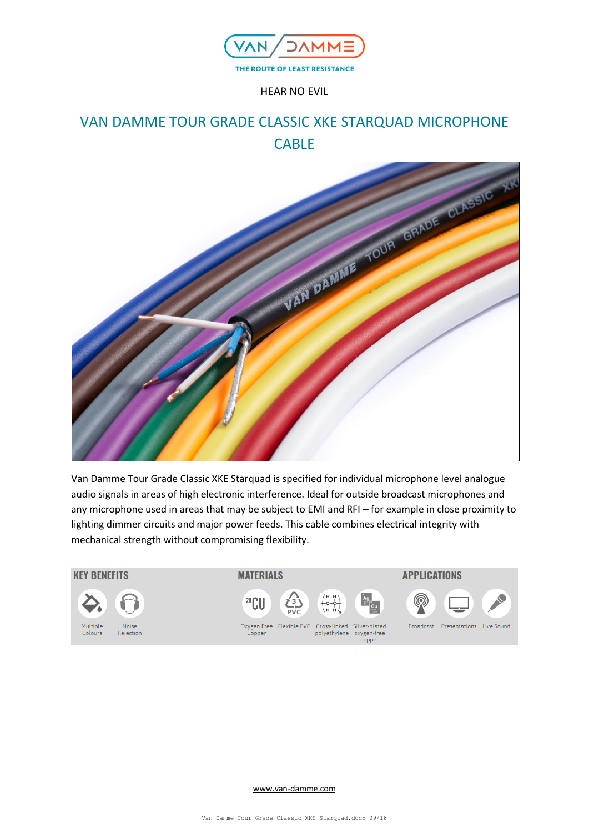

HEAR NO EVIL

# VAN DAMME TOUR GRADE CLASSIC XKE STARQUAD MICROPHONE CABLE



Van Damme Tour Grade Classic XKE Starquad is specified for individual microphone level analogue audio signals in areas of high electronic interference. Ideal for outside broadcast microphones and any microphone used in areas that may be subject to EMI and RFI – for example in close proximity to lighting dimmer circuits and major power feeds. This cable combines electrical integrity with mechanical strength without compromising flexibility.



[www.van-damme.com](http://www.van-damme.com/)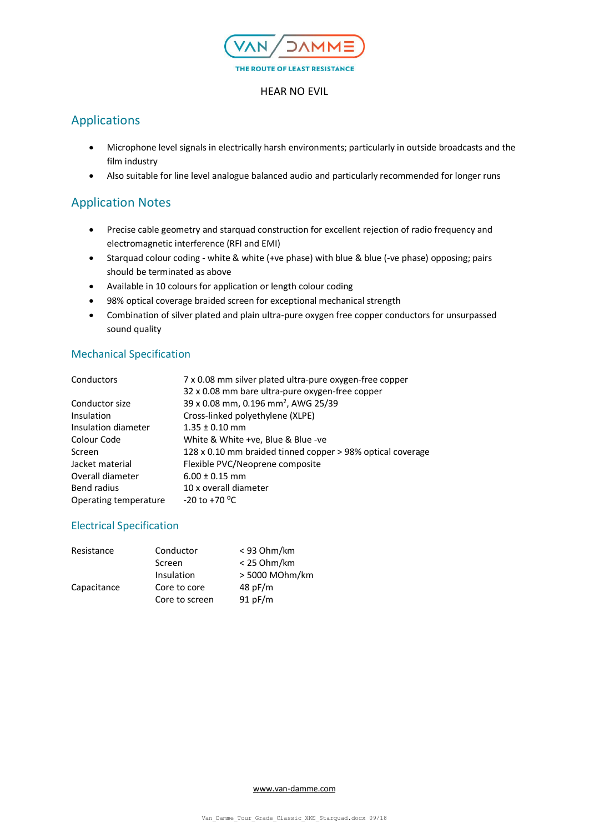

#### HEAR NO EVIL

# Applications

- Microphone level signals in electrically harsh environments; particularly in outside broadcasts and the film industry
- Also suitable for line level analogue balanced audio and particularly recommended for longer runs

### Application Notes

- Precise cable geometry and starquad construction for excellent rejection of radio frequency and electromagnetic interference (RFI and EMI)
- Starquad colour coding white & white (+ve phase) with blue & blue (-ve phase) opposing; pairs should be terminated as above
- Available in 10 colours for application or length colour coding
- 98% optical coverage braided screen for exceptional mechanical strength
- Combination of silver plated and plain ultra-pure oxygen free copper conductors for unsurpassed sound quality

### Mechanical Specification

| 7 x 0.08 mm silver plated ultra-pure oxygen-free copper    |
|------------------------------------------------------------|
| 32 x 0.08 mm bare ultra-pure oxygen-free copper            |
| 39 x 0.08 mm, 0.196 mm <sup>2</sup> , AWG 25/39            |
| Cross-linked polyethylene (XLPE)                           |
| $1.35 \pm 0.10$ mm                                         |
| White & White +ve, Blue & Blue -ve                         |
| 128 x 0.10 mm braided tinned copper > 98% optical coverage |
| Flexible PVC/Neoprene composite                            |
| $6.00 \pm 0.15$ mm                                         |
| 10 x overall diameter                                      |
| $-20$ to $+70$ <sup>o</sup> C                              |
|                                                            |

### Electrical Specification

| Resistance  | Conductor      | $<$ 93 Ohm/km  |
|-------------|----------------|----------------|
|             | Screen         | $<$ 25 Ohm/km  |
|             | Insulation     | > 5000 MOhm/km |
| Capacitance | Core to core   | 48 pF/m        |
|             | Core to screen | 91 pF/m        |

[www.van-damme.com](http://www.van-damme.com/)